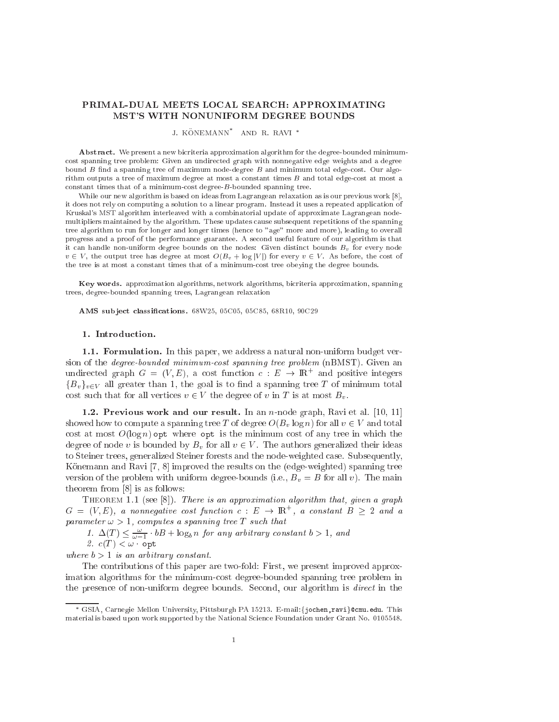## PRIMAL-DUAL MEETS LOCAL SEARCH: APPROXIMATING MST'S WITH NONUNIFORM DEGREE BOUNDS

J. KONEMANN AND R. RAVI

Abstract. We present a new bicriteria approximation algorithm for the degree-bounded minimumcost spanning tree problem: Given an undirected graph with nonnegative edge weights and a degree bound  $B$  find a spanning tree of maximum node-degree  $B$  and minimum total edge-cost. Our algorithm outputs a tree of maximum degree at most a constant times B and total edge-cost at most a onstant times that of a minimumost degree-B-bounded spanning tree.

While our new algorithm is based on ideas from Lagrangean relaxation as is our previous work  $[8]$ , it does not rely on computing a solution to a linear program. Instead it uses a repeated application of Kruskal's MST algorithm interleaved with a ombinatorial update of approximate Lagrangean nodemultipliers maintained by the algorithm. These updates ause subsequent repetitions of the spanning tree algorithm to run for longer and longer times (hen
e to "age" more and more), leading to overall progress and a proof of the performan
e guarantee. A se
ond useful feature of our algorithm is that it can handle non-uniform degree bounds on the nodes: Given distinct bounds  $B<sub>v</sub>$  for every node  $v \in V$ , the output tree has degree at most  $O(B_v + \log |V|)$  for every  $v \in V$ . As before, the cost of the tree is at most a onstant times that of a minimumost tree obeying the degree bounds.

Key words. approximation algorithms, network algorithms, bi
riteria approximation, spanning trees, degree-bounded spanning trees, Lagrangean relaxation

AMS subject classifications. 68W25, 05C05, 05C85, 68R10, 90C29

## 1. Introdu
tion.

1.1. Formulation. In this paper, we address a natural non-uniform budget version of the *degree-bounded minimum-cost spanning tree problem* (nBMST). Given an undirected graph  $G = (V, E)$ , a cost function  $c : E \rightarrow \mathbb{R}^+$  and positive integers  ${B_v}_{v \in V}$  all greater than 1, the goal is to find a spanning tree T of minimum total cost such that for all vertices  $v \in V$  the degree of v in T is at most  $B_v$ .

1.2. Previous work and our result. In an n-node graph, Ravi et al.  $[10, 11]$ showed how to compute a spanning tree T of degree  $O(B_n \log n)$  for all  $v \in V$  and total cost at most  $O(\log n)$  opt where opt is the minimum cost of any tree in which the degree of node v is bounded by  $B_v$  for all  $v \in V$ . The authors generalized their ideas to Steiner trees, generalized Steiner forests and the node-weighted ase. Subsequently, Könemann and Ravi  $[7, 8]$  improved the results on the (edge-weighted) spanning tree version of the problem with uniform degree-bounds (i.e.,  $B_v = B$  for all v). The main theorem from  $[8]$  is as follows:

THEOREM 1.1 (see [8]). There is an approximation algorithm that, given a graph  $G = (V, E)$ , a nonnegative cost function  $c : E \rightarrow \mathbb{R}$  , a constant  $B \geq 2$  and a parameter  $\omega > 1$ , computes a spanning tree T such that

1.  $\Delta(1) \leq \frac{1}{\omega - 1} \cdot 0$  +  $\log_b n$  for any arourary constant  $0 > 1$ , and

2.  $c(T) < \omega$  opt

where  $b > 1$  is an arbitrary constant.

The ontributions of this paper are two-fold: First, we present improved approximation algorithms for the minimumost degree-bounded spanning tree problem in the presence of non-uniform degree bounds. Second, our algorithm is *direct* in the

GSIA, Carnegie Mellon University, Pittsburgh PA 15213. E-mail:fjo
hen,ravig
mu.edu. This material is based upon work supported by the National S
ien
e Foundation under Grant No. 0105548.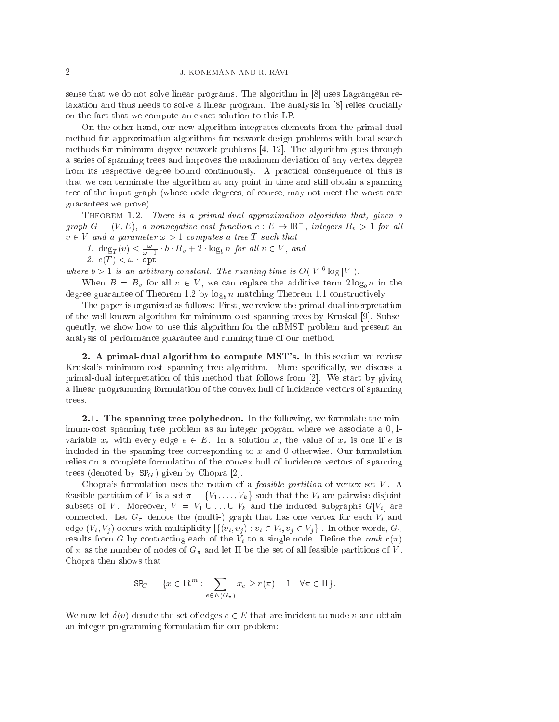sense that we do not solve linear programs. The algorithm in  $[8]$  uses Lagrangean relaxation and thus needs to solve a linear program. The analysis in  $[8]$  relies crucially on the fact that we compute an exact solution to this LP.

On the other hand, our new algorithm integrates elements from the primal-dual method for approximation algorithms for network design problems with lo
al sear
h methods for minimum-degree network problems  $[4, 12]$ . The algorithm goes through a series of spanning trees and improves the maximum deviation of any vertex degree from its respective degree bound continuously. A practical consequence of this is that we an terminate the algorithm at any point in time and still obtain a spanning tree of the input graph (whose node-degrees, of course, may not meet the worst-case guarantees we prove).

THEOREM 1.2. There is a primal-dual approximation algorithm that, given a graph  $G = (V, E)$ , a nonnegative cost function  $c : E \to \mathbb{R}^+$  , integers  $B_v > 1$  for all  $v \in V$  and a parameter  $\omega > 1$  computes a tree T such that

1.  $\deg_T(v) \leq \frac{1}{\omega - 1} \cdot 0 \cdot B_v + 2 \cdot \log_b n$  for all  $v \in V$ , and 2. (T ) <sup>&</sup>lt; ! opt

where  $0 > 1$  is an arbitrary constant. The running time is  $O(|V|^{2} \log |V|)$ .

When  $B = B_v$  for all  $v \in V$ , we can replace the additive term  $2 \log_b n$  in the degree guarantee of Theorem 1.2 by  $\log_b n$  matching Theorem 1.1 constructively.

The paper is organized as follows: First, we review the primal-dual interpretation of the well-known algorithm for minimum-cost spanning trees by Kruskal [9]. Subsequently, we show how to use this algorithm for the nBMST problem and present an analysis of performan
e guarantee and running time of our method.

2. A primal-dual algorithm to compute MST's. In this section we review Kruskal's minimum-cost spanning tree algorithm. More specifically, we discuss a primal-dual interpretation of this method that follows from  $[2]$ . We start by giving a linear programming formulation of the onvex hull of in
iden
e ve
tors of spanning trees.

2.1. The spanning tree polyhedron. In the following, we formulate the minimum-cost spanning tree problem as an integer program where we associate a  $0,1$ variable  $x_e$  with every edge  $e \in E$ . In a solution x, the value of  $x_e$  is one if e is in
luded in the spanning tree orresponding to <sup>x</sup> and 0 otherwise. Our formulation relies on a complete formulation of the convex hull of incidence vectors of spanning trees (denoted by  $SP<sub>G</sub>$ ) given by Chopra [2].

Chopra's formulation uses the notion of a *feasible partition* of vertex set  $V$ . A feasible partition of V is a set  $\pi = \{V_1, \ldots, V_k\}$  such that the  $V_i$  are pairwise disjoint subsets of V. Moreover,  $V = V_1 \cup ... \cup V_k$  and the induced subgraphs  $G[V_i]$  are connected. Let  $G_{\pi}$  denote the (multi-) graph that has one vertex for each  $V_i$  and edge  $(V_i, V_j)$  occurs with multiplicity  $|\{(v_i, v_j) : v_i \in V_i, v_j \in V_j\}|$ . In other words,  $G_{\pi}$ results from G by contracting each of the  $V_i$  to a single node. Define the rank  $r(\pi)$ of  $\pi$  as the number of nodes of  $G_{\pi}$  and let  $\Pi$  be the set of all feasible partitions of V. Chopra then shows that

$$
\mathrm{SP}_G = \{ x \in \mathbb{R}^m : \sum_{e \in E(G_\pi)} x_e \ge r(\pi) - 1 \quad \forall \pi \in \Pi \}.
$$

We now let  $\delta(v)$  denote the set of edges  $e \in E$  that are incident to node v and obtain an integer programming formulation for our problem: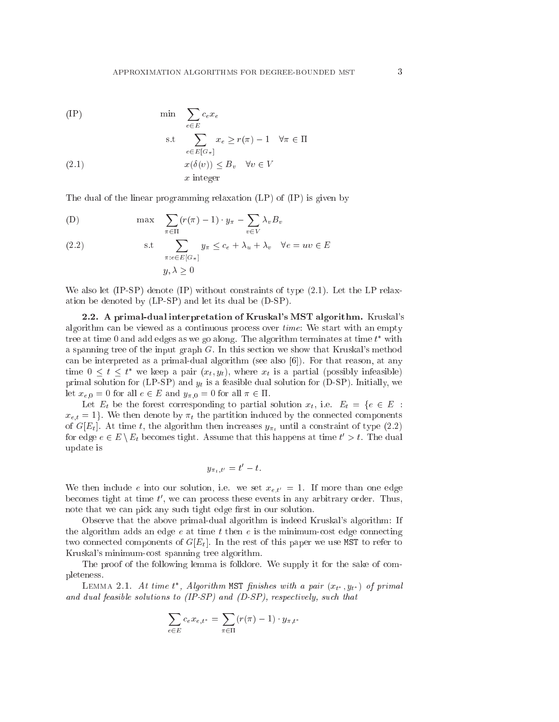(IP) 
$$
\min \sum_{e \in E} c_e x_e
$$
  
s.t 
$$
\sum x_e \ge r(\pi) - 1 \quad \forall \pi \in \Pi
$$

(2.1) 
$$
e \in E[G_{\pi}]
$$

$$
x(\delta(v)) \leq B_v \quad \forall v \in V
$$

$$
x \text{ integer}
$$

The dual of the linear programming relaxation (LP) of (IP) is given by

(D) 
$$
\max \sum_{\pi \in \Pi} (r(\pi) - 1) \cdot y_{\pi} - \sum_{v \in V} \lambda_v B_v
$$

(2.2) s.t 
$$
\sum_{\pi: e \in E[G_{\pi}]} y_{\pi} \le c_e + \lambda_u + \lambda_v \quad \forall e = uv \in E
$$

$$
y, \lambda \ge 0
$$

We also let (IP-SP) denote (IP) without constraints of type  $(2.1)$ . Let the LP relaxation be denoted by (LP-SP) and let its dual be (D-SP).

2.2. A primal-dual interpretation of Kruskal's MST algorithm. Kruskal's algorithm an be viewed as a ontinuous pro
ess over time: We start with an empty tree at time  $0$  and add edges as we go along. The algorithm terminates at time  $t$  –with a spanning tree of the input graph  $G$ . In this section we show that Kruskal's method can be interpreted as a primal-dual algorithm (see also  $[6]$ ). For that reason, at any time  $0 \leq t \leq t$  we keep a pair  $(x_t, y_t)$ , where  $x_t$  is a partial (possibly infeasible) primal solution for (LP-SP) and  $y_t$  is a feasible dual solution for (D-SP). Initially, we let  $x_{e,0} = 0$  for all  $e \in E$  and  $y_{\pi,0} = 0$  for all  $\pi \in \Pi$ .

Let  $E_t$  be the forest corresponding to partial solution  $x_t$ , i.e.  $E_t = \{e \in E :$  $x_{e,t} = 1$ . We then denote by  $\pi_t$  the partition induced by the connected components of  $G[E_t]$ . At time t, the algorithm then increases  $y_{\pi_t}$  until a constraint of type (2.2) for edge  $e \in E \setminus E_t$  becomes tight. Assume that this happens at time  $t \geq t$ . The dual update is

$$
y_{\pi_t,t'}=t'-t.
$$

We then include e into our solution, i.e. we set  $x_{e,t'}=1$ . If more than one edge becomes tight at time  $t$ , we can process these events in any arbitrary order. Thus, note that we can pick any such tight edge first in our solution.

Observe that the above primal-dual algorithm is indeed Kruskal's algorithm: If the algorithm adds an edge  $e$  at time  $t$  then  $e$  is the minimum-cost edge connecting two connected components of  $G[E_t]$ . In the rest of this paper we use MST to refer to Kruskal's minimumost spanning tree algorithm.

The proof of the following lemma is folklore. We supply it for the sake of completeness.

LEMMA 2.1. At time t , Algorithm <code>MSI</code> finishes with a pair  $(x_{t^*}, y_{t^*})$  of primal and dual feasible solutions to (IP-SP) and (D-SP), respectively, such that

$$
\sum_{e \in E} c_e x_{e,t^*} = \sum_{\pi \in \Pi} (r(\pi) - 1) \cdot y_{\pi,t^*}
$$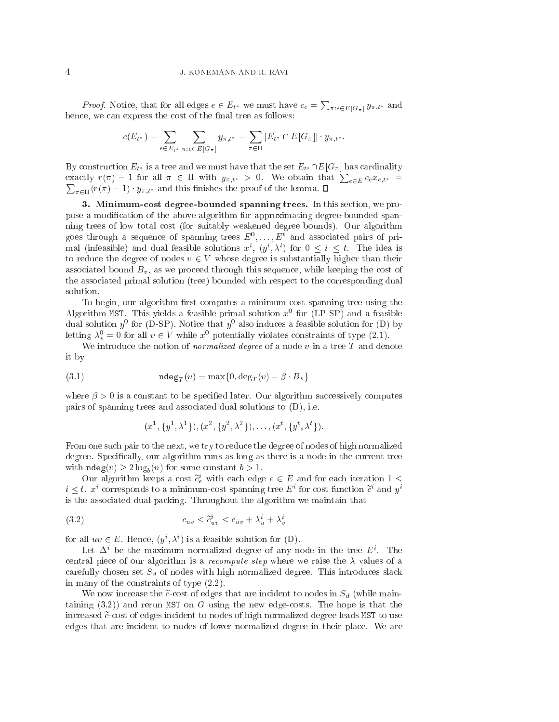*Proof.* Notice, that for all edges  $e \in E_{t^*}$  we must have  $c_e = \sum_{\pi: e \in E[G_\pi]} y_{\pi,t^*}$  and hence, we can express the cost of the final tree as follows:

$$
c(E_{t^*}) = \sum_{e \in E_{t^*}} \sum_{\pi: e \in E[G_{\pi}]} y_{\pi, t^*} = \sum_{\pi \in \Pi} |E_{t^*} \cap E[G_{\pi}]| \cdot y_{\pi, t^*}.
$$

By construction  $E_{t^*}$  is a tree and we must have that the set  $E_{t^*} \cap E[G_\pi]$  has cardinality exactly  $r(\pi) - 1$  for all  $\pi \in \Pi$  with  $y_{\pi,t^*} > 0$ . We obtain that  $\sum_{e \in E} c_e x_{e,t^*} =$  $\sum_{\pi \in \Pi} (r(\pi) - 1) \cdot y_{\pi,t^*}$  and this finishes the proof of the lemma.  $\Box$ 

3. Minimumost degree-bounded spanning trees. In this se
tion, we propose a modification of the above algorithm for approximating degree-bounded spanning trees of low total ost (for suitably weakened degree bounds). Our algorithm goes through a sequence of spanning trees  $E$  ,..., $E$  and associated pairs of primal (infeasible) and dual feasible solutions  $x$  ,  $(y^*, \lambda^*)$  for  $0 \leq i \leq t$ . The idea is to reduce the degree of nodes  $v \in V$  whose degree is substantially higher than their associated bound  $B_v$ , as we proceed through this sequence, while keeping the cost of the associated primal solution (tree) bounded with respect to the corresponding dual solution.

To begin, our algorithm first computes a minimum-cost spanning tree using the Algorithm MST. This yields a feasible primal solution  $x^{\perp}$  for (LP-SP) and a feasible dual solution  $y^+$  for (D-SP). Notice that  $y^+$  also induces a feasible solution for (D) by letting  $\lambda_v \equiv 0$  for all  $v \in V$  while x spotentially violates constraints of type (2.1).

We introduce the notion of *normalized degree* of a node  $v$  in a tree  $T$  and denote it by

(3.1) 
$$
\operatorname{ndeg}_T(v) = \max\{0, \deg_T(v) - \beta \cdot B_v\}
$$

where  $\beta > 0$  is a constant to be specified later. Our algorithm successively computes pairs of spanning trees and asso
iated dual solutions to (D), i.e.

$$
(x^1, \{y^1, \lambda^1\}), (x^2, \{y^2, \lambda^2\}), \ldots, (x^t, \{y^t, \lambda^t\}).
$$

From one su
h pair to the next, we try to redu
e the degree of nodes of high normalized degree. Specifically, our algorithm runs as long as there is a node in the current tree with  $\text{ndeg}(v) \geq 2 \log_h(n)$  for some constant  $b > 1$ .

Our algorithm keeps a cost  $c_e$  with each edge  $e \in E$  and for each iteration  $1 \leq$  $i > i$ , x corresponds to a minimum-cost spanning tree E for cost function c and y is the asso
iated dual pa
king. Throughout the algorithm we maintain that

$$
(3.2) \t\t c_{uv} \leq \tilde{c}_{uv}^i \leq c_{uv} + \lambda_u^i + \lambda_v^i
$$

for all  $uv \in E$ . Hence,  $(y, \lambda)$  is a feasible solution for  $(D)$ .

Let  $\Delta$  be the maximum normalized degree of any node in the tree  $E$ . The central piece of our algorithm is a *recompute step* where we raise the  $\lambda$  values of a carefully chosen set  $S_d$  of nodes with high normalized degree. This introduces slack in many of the onstraints of type (2.2).

We now increase the  $\tilde{c}$ -cost of edges that are incident to nodes in  $S_d$  (while maintaining  $(3.2)$  and rerun MST on G using the new edge-costs. The hope is that the increased  $\tilde{c}$ -cost of edges incident to nodes of high normalized degree leads MST to use edges that are in
ident to nodes of lower normalized degree in their pla
e. We are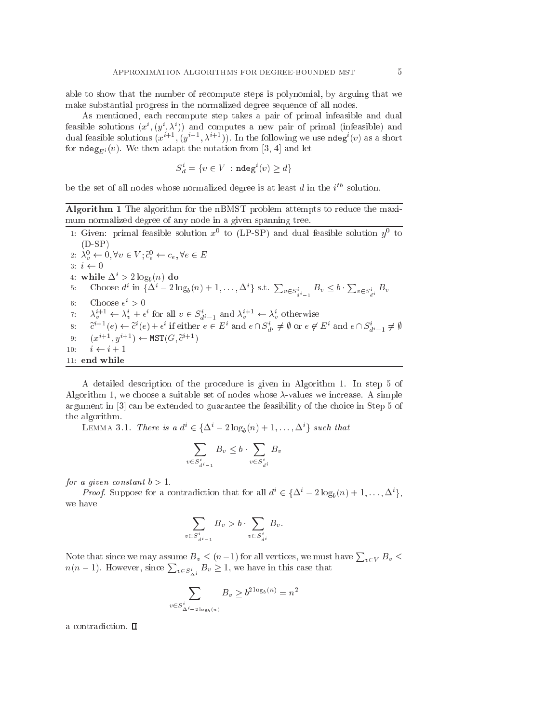able to show that the number of re
ompute steps is polynomial, by arguing that we make substantial progress in the normalized degree sequen
e of all nodes.

As mentioned, each recompute step takes a pair of primal infeasible and dual reasible solutions  $(x^{\cdot}, (y^{\cdot}, \lambda^{\cdot}))$  and computes a new pair of primal (infeasible) and dual feasible solutions  $(x^{++}, (y^{++}, \lambda^{++}))$ . In the following we use ndeg  $(v)$  as a short for  $\text{ndeg}_{E_i}(v)$ . We then adapt the notation from [3, 4] and let

$$
S_d^i = \{ v \in V : \mathbf{ndeg}^i(v) \ge d \}
$$

be the set of all houes whose hormalized degree is at least  $a$  in the  $i$  solution.

Algorithm 1 The algorithm for the nBMST problem attempts to redu
e the maximum normalized degree of any node in a given spanning tree.

1: Given: primal reasible solution  $x\,$  to (LP-SP) and dual feasible solution  $y\,$  to (D-SP) 2:  $\lambda_v \leftarrow 0, \forall v \in V$ ;  $c_e \leftarrow c_e, \forall e \in E$  $3: i \leftarrow 0$ 4: while  $\Delta^i > 2 \log_b(n)$  do 5: Choose  $d^i$  in  $\{\Delta^i - 2\log_b(n) + 1, \ldots, \Delta^i\}$  s.t.  $\sum_{v \in S^i_{d^i-1}} B_v \leq b \cdot \sum_{v \in S^i_{d^i}} B_v$  $a - 1$  $\mathfrak{b}: \quad \text{Unouse } \epsilon \geq 0$  $\alpha_v \leftrightarrow \alpha_v + \epsilon$  for all  $v \in \mathcal{S}_{d^i-1}$  and  $\alpha_v \leftrightarrow \alpha_v$  otherwise 8:  $c^+ \cdot (e) \leftarrow c^+ (e) + \epsilon^+$  if either  $e \in E^+$  and  $e \mid \mid S_{d^i} \neq \emptyset$  or  $e \notin E^+$  and  $e \mid \mid S_{d^i-1} \neq \emptyset$ 9: I $x = y \leftrightarrow \texttt{M}$  is  $y = y$  $10:$ 10: i i + 1 11: end while

A detailed des
ription of the pro
edure is given in Algorithm 1. In step 5 of Algorithm 1, we choose a suitable set of nodes whose  $\lambda$ -values we increase. A simple argument in  $[3]$  can be extended to guarantee the feasibility of the choice in Step 5 of the algorithm.

LEMMA 3.1. There is a  $a^2 \in {\{\Delta^2 - 2\log_b(n) + 1, \ldots, \Delta^2\}}$  such that

$$
\sum_{v \in S_{d^i-1}^i} B_v \le b \cdot \sum_{v \in S_{d^i}^i} B_v
$$

for a given constant  $b > 1$ .

*Proof.* Suppose for a contradiction that for all  $a \in {\Delta - 2 \log_b(n) + 1, ..., \Delta}$ , we have

$$
\sum_{v \in S_{d^i-1}^i} B_v > b \cdot \sum_{v \in S_{d^i}^i} B_v.
$$

Note that since we may assume  $B_v \le (n-1)$  for all vertices, we must have  $\sum_{v \in V} B_v \le$  $n(n-1)$ . However, since  $\sum_{v \in S_{\Delta^i}^i} B_v \ge 1$ , we have in this case that

$$
\sum_{S^i_{\Delta^i - 2\log_b(n)}} B_v \ge b^{2\log_b(n)} = n^2
$$

 $v \in$ 

a contradiction.  $\square$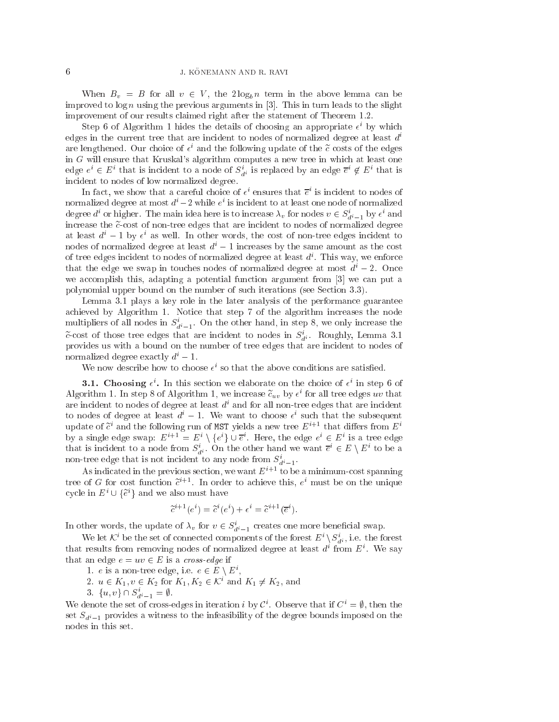When  $B_v = B$  for all  $v \in V$ , the  $2 \log_b n$  term in the above lemma can be improved to  $\log n$  using the previous arguments in [3]. This in turn leads to the slight improvement of our results laimed right after the statement of Theorem 1.2.

 $\mathcal{S}$ tep  $\mathcal{O}$  of Algorithm 1 mdes the details of choosing an appropriate  $\epsilon^+$  by which edges in the current tree that are incident to nodes of normalized degree at least  $d<sup>i</sup>$ are iengthened. Our choice of  $\epsilon^*$  and the following update of the  $c$  costs of the edges in <sup>G</sup> will ensure that Kruskal's algorithm omputes a new tree in whi
h at least one edge  $e^* \in E^*$  that is incluent to a node of  $S_{d^i}$  is replaced by an edge  $e^* \notin E^*$  that is in
ident to nodes of low normalized degree.

In fact, we show that a careful choice of  $\epsilon^*$  ensures that  $e^*$  is incident to nodes of normalized degree at most  $a \neq 2$  while  $e \cdot$  is incluent to at least one node of normalized degree  $a$  for higher. The main idea here is to increase  $\lambda_v$  for hodes  $v \in S_{d^i-1}$  by  $\epsilon$  and increase the  $\tilde{c}$ -cost of non-tree edges that are incident to nodes of normalized degree at least  $a^{\cdot} =$  1 by  $\epsilon^{\cdot}$  as well. In other words, the cost of non-tree edges incldent to nodes of normalized degree at least  $d^{i} - 1$  increases by the same amount as the cost of tree eages incluent to nodes of normalized degree at least  $a$  . This way, we enforce that the edge we swap in touches nodes of normalized degree at most  $d^{i} - 2$ . Once we accomplish this, adapting a potential function argument from  $[3]$  we can put a polynomial upper bound on the number of such iterations (see Section 3.3).

Lemma 3.1 plays a key role in the later analysis of the performan
e guarantee a
hieved by Algorithm 1. Noti
e that step 7 of the algorithm in
reases the node multipliers of all nodes in  $\sigma_{d^{i}-1}$ . On the other hand, in step  $\delta$ , we only increase the c-cost of those tree edges that are incluent to houes in  $S_{di}$ . Roughly, Lemma 3.1 provides us with a bound on the number of tree edges that are in
ident to nodes of normalized degree exactly  $d^{i} - 1$ .

We now describe now to choose  $\epsilon$  so that the above conditions are satisfied.

**3.1.** Choosing  $\epsilon$  . In this section we elaborate on the choice of  $\epsilon$  in step  $\theta$  or Algorithm 1. In step 8 of Algorithm 1, we increase  $c_{uv}$  by  $\epsilon$  for all tree edges  $uv$  that are incluent to nodes of degree at least  $a$  and for all non-tree edges that are incluent to nodes of degree at least  $a^{\cdot} = 1$ . We want to choose  $\epsilon^{\cdot}$  such that the subsequent update of  $c$  and the following run of MST yields a new tree  $E^{++}$  that differs from  $E^{+}$ by a single edge swap:  $E^+ = E^+ \setminus \{e^*\} \cup e^-$  here, the edge  $e^+ \in E^+$  is a tree edge that is incluent to a node from  $S_{di}$ . On the other hand we want  $e^{\cdot} \in E \setminus E^*$  to be a non-tree edge that is not incluent to any node from  $S_{d^i-1}$ .

As indicated in the previous section, we want  $E^{i+1}$  to be a minimum-cost spanning tree of  $G$  for cost function  $c+\dots$  in order to achieve this,  $e+\dots$  must be on the unique cycle in  $E \cup \{e\}$  and we also must have

$$
\tilde{c}^{i+1}(e^i) = \tilde{c}^i(e^i) + \epsilon^i = \tilde{c}^{i+1}(\overline{e}^i).
$$

In other words, the update of  $\lambda_v$  for  $v \in S_{d^i-1}$  creates one more beneficial swap.

We fet  $\mathcal{K}$  be the set of connected components of the forest  $E \setminus \mathcal{S}_{d}$ , i.e. the forest that results from removing nodes of normalized degree at least  $a$  from  $E$  . We say that an edge  $e = uv \in E$  is a *cross-edge* if

1.  $e$  is a non-tree edge, i.e.  $e \in E \setminus E$  ,

- 2.  $u \in K_1, v \in K_2$  for  $K_1, K_2 \in \mathcal{K}$  and  $K_1 \neq K_2$ , and
- $3 \cdot \{u, v\} \cup \delta_{d^i-1} = \emptyset.$

We denote the set of cross-edges in iteration  $i$  by  $C$ . Observe that if  $C_i \equiv v$ , then the set  $S_{d^{i}-1}$  provides a witness to the infeasibility of the degree bounds imposed on the nodes in this set.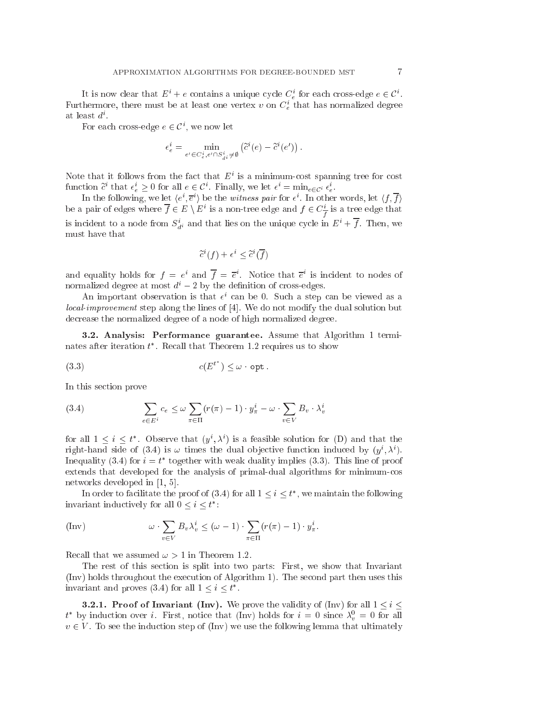It is now clear that  $E^+ + e$  contains a unique cycle  $C_e^-$  for each cross-edge  $e \in C^+$ . Furthermore, there must be at least one vertex  $v$  on  $C_e$  that has normalized degree at least  $a^{\cdot}$  .

For each cross-edge  $e \in C$  , we now let

$$
\epsilon_e^i = \min_{e' \in C_e^i, e' \cap S_{di}^i \neq \emptyset} \left( \tilde{c}^i(e) - \tilde{c}^i(e') \right).
$$

Note that it follows from the fact that  $E^\pm$  is a minimum-cost spanning tree for cost function c that  $\epsilon_e \geq 0$  for all  $e \in C$ . Finally, we let  $\epsilon = \min_{e \in C^i} \epsilon_e$ .

In the following, we let  $\langle e^*, e^* \rangle$  be the witness pair for  $\epsilon^*$ . In other words, let  $\langle f, f \rangle$ be a pair of edges where  $f \in E \setminus E$  is a non-tree edge and  $f \in C \frac{1}{f}$  is a tree edge that is incluent to a node from  $S_{d^i}$  and that lies on the unique cycle in  $E^i + f$ . Then, we must have that

$$
\widetilde{c}^i(f)+\epsilon^i\leq \widetilde{c}^i(\overline{f})
$$

and equality notics for  $f = e^{\gamma}$  and  $f = e^{\gamma}$ . Notice that  $e^{\gamma}$  is incluent to nodes of normalized degree at most  $d^{i} - 2$  by the definition of cross-edges.

An important observation is that  $\epsilon^*$  can be 0. Such a step can be viewed as a local-improvement step along the lines of [4]. We do not modify the dual solution but de
rease the normalized degree of a node of high normalized degree.

3.2. Analysis: Performan
e guarantee. Assume that Algorithm 1 terminates after iteration  $\iota$  . Recall that Theorem 1.2 requires us to show

$$
(3.3) \t\t c(E^{t^*}) \leq \omega \cdot \mathsf{opt}.
$$

In this se
tion prove

(3.4) 
$$
\sum_{e \in E^i} c_e \leq \omega \sum_{\pi \in \Pi} (r(\pi) - 1) \cdot y_{\pi}^i - \omega \cdot \sum_{v \in V} B_v \cdot \lambda_v^i
$$

for all  $1 \leq i \leq t$  . Observe that  $(y^*, \lambda^*)$  is a feasible solution for (D) and that the right-hand side of (3.4) is  $\omega$  times the dual objective function induced by  $(y^*, \lambda^*).$ Inequality (3.4) for  $i = i$  together with weak duality implies (3.3). This line of proof extends that developed for the analysis of primal-dual algorithms for minimumos networks developed in  $[1, 5]$ .

In order to facilitate the proof of (3.4) for all  $1 \leq i \leq t$  , we maintain the following invariant inductively for all  $0 \leq i \leq t$  :

$$
\text{(Inv)} \qquad \omega \cdot \sum_{v \in V} B_v \lambda_v^i \leq (\omega - 1) \cdot \sum_{\pi \in \Pi} (r(\pi) - 1) \cdot y_\pi^i.
$$

Recall that we assumed  $\omega > 1$  in Theorem 1.2.

The rest of this se
tion is split into two parts: First, we show that Invariant (Inv) holds throughout the exe
ution of Algorithm 1). The se
ond part then uses this invariant and proves (5.4) for all  $1 \leq i \leq t$ .

**3.2.1. Proof of Invariant (Inv).** We prove the validity of (Inv) for all  $1 \leq i \leq$  $\iota$  by induction over  $\iota$ . First, notice that (Inv) holds for  $\iota = 0$  since  $\lambda_{\nu} = 0$  for all  $v \in V$ . To see the induction step of (Inv) we use the following lemma that ultimately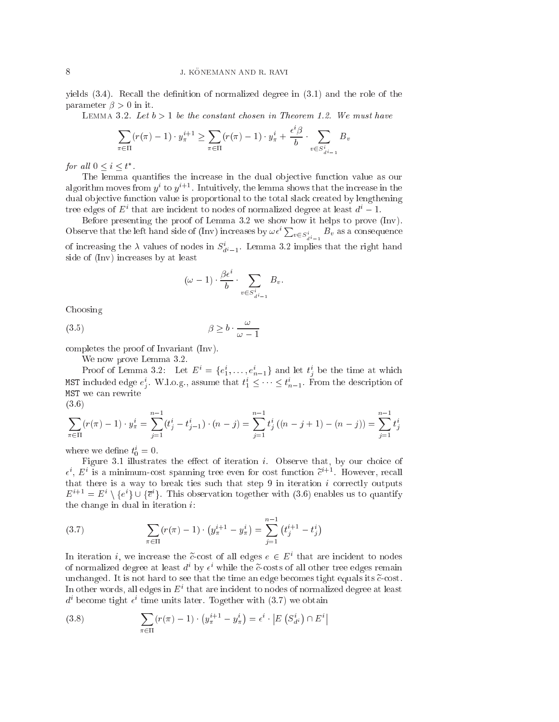yields  $(3.4)$ . Recall the definition of normalized degree in  $(3.1)$  and the role of the parameter  $\beta > 0$  in it.

LEMMA 3.2. Let  $b > 1$  be the constant chosen in Theorem 1.2. We must have

$$
\sum_{\pi \in \Pi} (r(\pi) - 1) \cdot y_{\pi}^{i+1} \ge \sum_{\pi \in \Pi} (r(\pi) - 1) \cdot y_{\pi}^{i} + \frac{\epsilon^{i} \beta}{b} \cdot \sum_{v \in S_{d^{i-1}}^{i}} B
$$

Bv

for an  $0 \leq i \leq t$ .

The lemma quantifies the increase in the dual objective function value as our algorithm moves from  $y\to 0$   $y\to 1$  intuitively, the lemma shows that the increase in the dual objective function value is proportional to the total slack created by lengthening tree edges of  $E^+$  that are incluent to nodes of normalized degree at least  $a^{\cdot}-1.$ 

Before presenting the proof of Lemma 3.2 we show how it helps to prove (Inv). Observe that the left hand side of (Inv) increases by  $\omega \epsilon^i \sum_{v \in S_{d^i-1}^i} B_v$  as a consequence of increasing the  $\lambda$  values of nodes in  $\sigma_{d^i-1}$ . Lemma 5.2 implies that the right hand side of (Inv) in
reases by at least

$$
(\omega - 1) \cdot \frac{\beta \epsilon^i}{b} \cdot \sum_{v \in S_{d^i - 1}^i} B_v.
$$

Choosing

$$
\beta \ge b \cdot \frac{\omega}{\omega - 1}
$$

ompletes the proof of Invariant (Inv).

We now prove Lemma 3.2.

Proof of Lemma 3.2: Let  $E = \{e_1, \ldots, e_{n-1}\}\$  and let  $t_i$  be the time at which **ris** I included edge  $e_j$ . W.l.o.g., assume that  $i_1 \leq \cdots \leq i_{n-1}$ . From the description of MST we an rewrite (3.6)

$$
\sum_{\pi \in \Pi} (r(\pi) - 1) \cdot y_{\pi}^{i} = \sum_{j=1}^{n-1} (t_j^{i} - t_{j-1}^{i}) \cdot (n - j) = \sum_{j=1}^{n-1} t_j^{i} ((n - j + 1) - (n - j)) = \sum_{j=1}^{n-1} t_j^{i}
$$

where we define  $t_0 = 0$ .

Figure 3.1 illustrates the effect of iteration  $i$ . Observe that, by our choice of  $\epsilon$ ,  $E$  is a minimum-cost spanning tree even for cost function  $e^{i\epsilon}$  - However, recall that there is a way to break ties such that step  $9$  in iteration  $i$  correctly outputs  $E^+ = E^+ \setminus \{e^-\} \cup \{e^-\}$ . This observation together with (3.0) enables us to quantify the change in dual in iteration  $i$ :

(3.7) 
$$
\sum_{\pi \in \Pi} (r(\pi) - 1) \cdot \left( y_{\pi}^{i+1} - y_{\pi}^{i} \right) = \sum_{j=1}^{n-1} \left( t_{j}^{i+1} - t_{j}^{i} \right)
$$

In Refation *i*, we increase the c-cost of an edges  $e \in E^+$  that are incluent to houes of normalized degree at least  $a^{\perp}$  by  $\epsilon^{\perp}$  while the c-costs of all other tree edges remain unchanged. It is not hard to see that the time an edge becomes tight equals its  $\tilde{c}$ -cost. In other words, all edges in  $E^\pm$  that are incident to nodes of normalized degree at least  $a^{\perp}$  become tight  $\epsilon^{\perp}$  time units later. Together with (3.7) we obtain

(3.8) 
$$
\sum_{\pi \in \Pi} (r(\pi) - 1) \cdot (y_{\pi}^{i+1} - y_{\pi}^i) = \epsilon^i \cdot \left| E\left(S_{d^i}^i\right) \cap E^i \right|
$$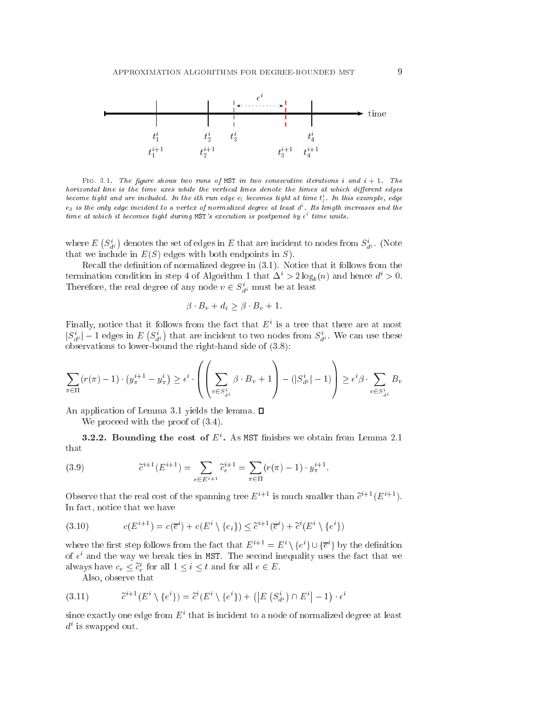

Fig. 3.1. The gure shows two runs of MST in two onse
utive iterations <sup>i</sup> and <sup>i</sup> + 1. The horizontal line is the time axes while the vertical lines denote the times at which different edges become tight and are included. In the ith run edge  $e_l$  becomes tight at time  $t_i$  . In this example, edge  $e_3$  is the only edge incident to a vertex of normalized degree at least  $d^i$ . Its length increases and the time at which it becomes tight during MST's execution is postponed by  $\epsilon^i$  time units.

 $(S_{d^i}^i)$ ) denotes the set of edges in  $E$  that are incident to nodes from  $S^i_{d^i}$ . (Note that we include in  $E(S)$  edges with both endpoints in S).

Recall the definition of normalized degree in (3.1). Notice that it follows from the termination condition in step 4 of Algorithm 1 that  $\Delta^i > 2 \log_b(n)$  and hence  $d^i > 0$ . Therefore, the real degree of any node  $v \in S_{d_i}$  must be at least

$$
\beta \cdot B_v + d_i \ge \beta \cdot B_v + 1.
$$

 $r$  many, notice that it follows from the fact that  $E^\ast$  is a tree that there are at most  $|\mathcal{S}_{d^i}| = 1$  edges in E  $(S_{d^i}^i$ ) that are incident to two nodes from  $S_{d}^{i}$ . We can use these observations to lower-bound the right-hand side of (3.8):

$$
\sum_{\pi \in \Pi} (r(\pi) - 1) \cdot (y_{\pi}^{i+1} - y_{\pi}^i) \ge \epsilon^i \cdot \left( \left( \sum_{v \in S_{d^i}^i} \beta \cdot B_v + 1 \right) - (|S_{d^i}^i| - 1) \right) \ge \epsilon^i \beta \cdot \sum_{v \in S_{d^i}^i} B_v
$$

An application of Lemma 3.1 yields the lemma.  $\square$ 

We proceed with the proof of  $(3.4)$ .

**5.2.2. Bounding the cost of E.** As MST millishes we obtain from Lemma 2.1 that

(3.9) 
$$
\tilde{c}^{i+1}(E^{i+1}) = \sum_{e \in E^{i+1}} \tilde{c}_e^{i+1} = \sum_{\pi \in \Pi} (r(\pi) - 1) \cdot y_{\pi}^{i+1}.
$$

Observe that the real cost of the spanning tree  $E_{\perp}$  is much smaller than  $e_{\perp}$  (Ei+1). In fa
t, noti
e that we have

(3.10) 
$$
c(E^{i+1}) = c(\overline{e}^i) + c(E^i \setminus \{e_i\}) \leq \tilde{c}^{i+1}(\overline{e}^i) + \tilde{c}^i(E^i \setminus \{e^i\})
$$

where the first step follows from the fact that  $E^{++} = E^* \setminus \{e^*\} \cup \{e^*\}$  by the definition of  $\epsilon$  and the way we preak ties in MST. The second inequality uses the fact that we always have  $c_e \leq c_e$  for all  $1 \leq i \leq t$  and for all  $e \in E$ .

Also, observe that

$$
(3.11) \qquad \tilde{c}^{i+1}(E^i \setminus \{e^i\}) = \tilde{c}^i(E^i \setminus \{e^i\}) + (|E(S^i_{d^i}) \cap E^i| - 1) \cdot \epsilon^i
$$

since exactly one edge from  $E$  -that is incluent to a node of normalized degree at least  $a$  is swapped out.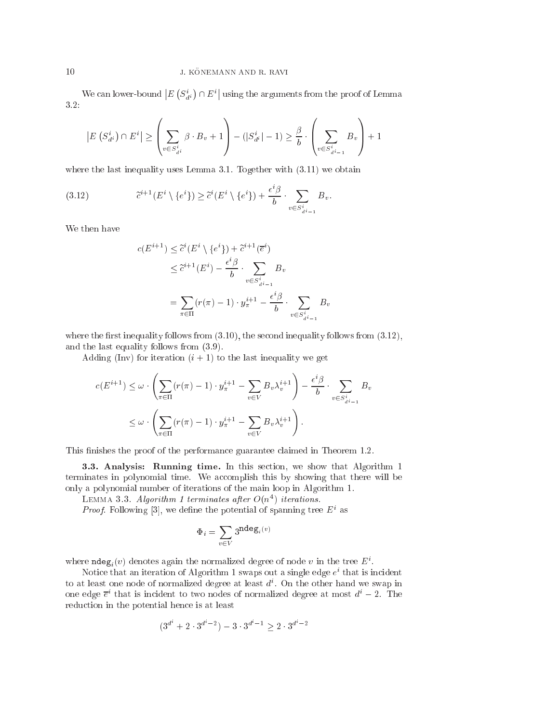$|E(S_{d^i}^i)$  $\sim$  $\cap E^i|$  using the arguments from the proof of Lemma 3.2:

$$
\left| E\left(S_{d^i}^i\right) \cap E^i \right| \ge \left( \sum_{v \in S_{d^i}^i} \beta \cdot B_v + 1 \right) - \left( |S_{d^i}^i| - 1 \right) \ge \frac{\beta}{b} \cdot \left( \sum_{v \in S_{d^i-1}^i} B_v \right) + 1
$$

where the last inequality uses Lemma 3.1. Together with  $(3.11)$  we obtain

(3.12) 
$$
\tilde{c}^{i+1}(E^i \setminus \{e^i\}) \geq \tilde{c}^i(E^i \setminus \{e^i\}) + \frac{\epsilon^i \beta}{b} \cdot \sum_{v \in S_{d^i-1}^i} B_v.
$$

We then have

$$
c(E^{i+1}) \leq \tilde{c}^{i}(E^{i} \setminus \{e^{i}\}) + \tilde{c}^{i+1}(\overline{e}^{i})
$$
  

$$
\leq \tilde{c}^{i+1}(E^{i}) - \frac{\epsilon^{i}\beta}{b} \cdot \sum_{v \in S_{d^{i-1}}^{i}} B_{v}
$$
  

$$
= \sum_{\pi \in \Pi} (r(\pi) - 1) \cdot y_{\pi}^{i+1} - \frac{\epsilon^{i}\beta}{b} \cdot \sum_{v \in S_{d^{i-1}}^{i}} B_{v}
$$

where the first inequality follows from  $(3.10)$ , the second inequality follows from  $(3.12)$ , and the last equality follows from (3.9).

Adding (Inv) for iteration  $(i + 1)$  to the last inequality we get

$$
c(E^{i+1}) \leq \omega \cdot \left(\sum_{\pi \in \Pi} (r(\pi) - 1) \cdot y_{\pi}^{i+1} - \sum_{v \in V} B_v \lambda_v^{i+1}\right) - \frac{\epsilon^i \beta}{b} \cdot \sum_{v \in S_{d^i-1}^i} B_v
$$

$$
\leq \omega \cdot \left(\sum_{\pi \in \Pi} (r(\pi) - 1) \cdot y_{\pi}^{i+1} - \sum_{v \in V} B_v \lambda_v^{i+1}\right).
$$

This finishes the proof of the performance guarantee claimed in Theorem 1.2.

3.3. Analysis: Running time. In this section, we show that Algorithm 1 terminates in polynomial time. We accomplish this by showing that there will be only a polynomial number of iterations of the main loop in Algorithm 1.

 $L$ EMMA  $3.3.$  Algorithm 1 terminates after  $O(n+1)$  iterations.

*Proof.* Following [3], we define the potential of spanning tree  $E^+$  as

$$
\Phi_i = \sum_{v \in V} 3^{\textbf{ndeg}_i(v)}
$$

where  $\texttt{naeg}_i(v)$  denotes again the normalized degree of node v in the tree  $E$  .

ivotice that an iteration of Algorithm 1 swaps out a single edge  $e^{\cdot}$  that is incluent to at least one node of normalized degree at least di . On the other hand we swap in one edge  $e^+$  that is incluent to two nodes of normalized degree at most  $a^+ = 2$ . The reduction in the potential hence is at least

$$
(3^{d^i} + 2 \cdot 3^{d^i - 2}) - 3 \cdot 3^{d^i - 1} > 2 \cdot 3^{d^i - 2}
$$